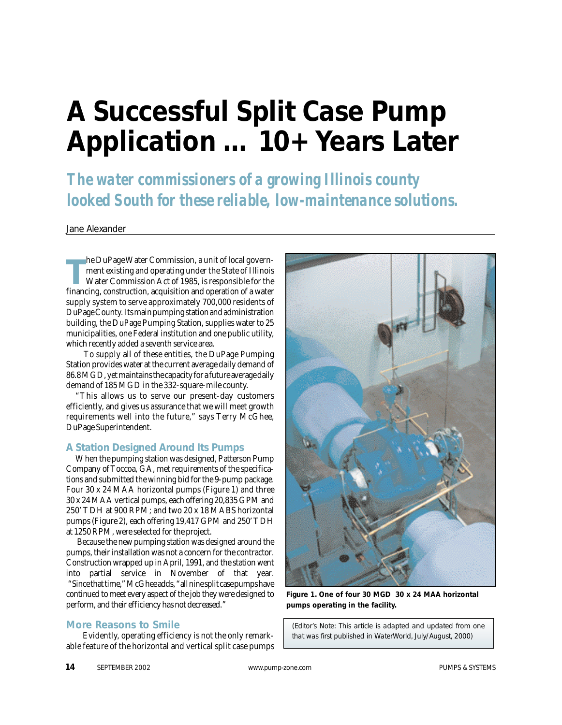## **A Successful Split Case Pump Application … 10+ Years Later**

*The water commissioners of a growing Illinois county looked South for these reliable, low-maintenance solutions.*

Jane Alexander

**THE FIGURE FORE STATE COMMISSION, a unit of local government existing and operating under the State of Illinois<br>Water Commission Act of 1985, is responsible for the<br>financing, construction, acquisition and operation of a** he DuPage Water Commission, a unit of local government existing and operating under the State of Illinois Water Commission Act of 1985, is responsible for the supply system to serve approximately 700,000 residents of DuPage County. Its main pumping station and administration building, the DuPage Pumping Station, supplies water to 25 municipalities, one Federal institution and one public utility, which recently added a seventh service area.

To supply all of these entities, the DuPage Pumping Station provides water at the current average daily demand of 86.8 MGD, yet maintains the capacity for a future average daily demand of 185 MGD in the 332-square-mile county.

"This allows us to serve our present-day customers efficiently, and gives us assurance that we will meet growth requirements well into the future," says Terry McGhee, DuPage Superintendent.

## **A Station Designed Around Its Pumps**

When the pumping station was designed, Patterson Pump Company of Toccoa, GA, met requirements of the specifications and submitted the winning bid for the 9-pump package. Four 30 x 24 MAA horizontal pumps (Figure 1) and three 30 x 24 MAA vertical pumps, each offering 20,835 GPM and 250' TDH at 900 RPM; and two 20 x 18 MABS horizontal pumps (Figure 2), each offering 19,417 GPM and 250' TDH at 1250 RPM, were selected for the project.

Because the new pumping station was designed around the pumps, their installation was not a concern for the contractor. Construction wrapped up in April, 1991, and the station went into partial service in November of that year. "Since that time," McGhee adds, "all nine split case pumps have continued to meet every aspect of the job they were designed to perform, and their efficiency has not decreased."

## **More Reasons to Smile**

Evidently, operating efficiency is not the only remarkable feature of the horizontal and vertical split case pumps



**Figure 1. One of four 30 MGD 30 x 24 MAA horizontal pumps operating in the facility.** 

*(Editor's Note: This article is adapted and updated from one that was first published in WaterWorld, July/August, 2000)*

**14** SEPTEMBER 2002 *www.pump-zone.com* PUMPS & SYSTEMS